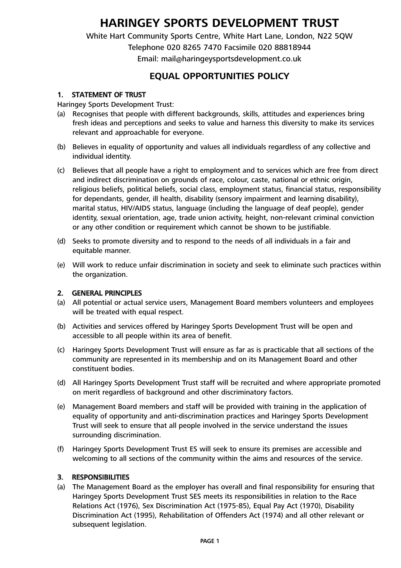# **HARINGEY SPORTS DEVELOPMENT TRUST**

White Hart Community Sports Centre, White Hart Lane, London, N22 5QW Telephone 020 8265 7470 Facsimile 020 88818944 Email: mail@haringeysportsdevelopment.co.uk

# **EQUAL OPPORTUNITIES POLICY**

#### 1. STATEMENT OF TRUST

Haringey Sports Development Trust:

- (a) Recognises that people with different backgrounds, skills, attitudes and experiences bring fresh ideas and perceptions and seeks to value and harness this diversity to make its services relevant and approachable for everyone.
- (b) Believes in equality of opportunity and values all individuals regardless of any collective and individual identity.
- (c) Believes that all people have a right to employment and to services which are free from direct and indirect discrimination on grounds of race, colour, caste, national or ethnic origin, religious beliefs, political beliefs, social class, employment status, financial status, responsibility for dependants, gender, ill health, disability (sensory impairment and learning disability), marital status, HIV/AIDS status, language (including the language of deaf people), gender identity, sexual orientation, age, trade union activity, height, non-relevant criminal conviction or any other condition or requirement which cannot be shown to be justifiable.
- (d) Seeks to promote diversity and to respond to the needs of all individuals in a fair and equitable manner.
- (e) Will work to reduce unfair discrimination in society and seek to eliminate such practices within the organization.

#### 2. GENERAL PRINCIPLES

- (a) All potential or actual service users, Management Board members volunteers and employees will be treated with equal respect.
- (b) Activities and services offered by Haringey Sports Development Trust will be open and accessible to all people within its area of benefit.
- (c) Haringey Sports Development Trust will ensure as far as is practicable that all sections of the community are represented in its membership and on its Management Board and other constituent bodies.
- (d) All Haringey Sports Development Trust staff will be recruited and where appropriate promoted on merit regardless of background and other discriminatory factors.
- (e) Management Board members and staff will be provided with training in the application of equality of opportunity and anti-discrimination practices and Haringey Sports Development Trust will seek to ensure that all people involved in the service understand the issues surrounding discrimination.
- (f) Haringey Sports Development Trust ES will seek to ensure its premises are accessible and welcoming to all sections of the community within the aims and resources of the service.

#### 3. RESPONSIBILITIES

(a) The Management Board as the employer has overall and final responsibility for ensuring that Haringey Sports Development Trust SES meets its responsibilities in relation to the Race Relations Act (1976), Sex Discrimination Act (1975-85), Equal Pay Act (1970), Disability Discrimination Act (1995), Rehabilitation of Offenders Act (1974) and all other relevant or subsequent legislation.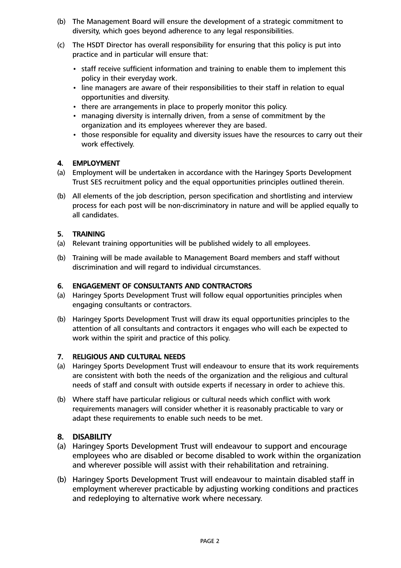- (b) The Management Board will ensure the development of a strategic commitment to diversity, which goes beyond adherence to any legal responsibilities.
- (c) The HSDT Director has overall responsibility for ensuring that this policy is put into practice and in particular will ensure that:
	- staff receive sufficient information and training to enable them to implement this policy in their everyday work.
	- line managers are aware of their responsibilities to their staff in relation to equal opportunities and diversity.
	- there are arrangements in place to properly monitor this policy.
	- managing diversity is internally driven, from a sense of commitment by the organization and its employees wherever they are based.
	- those responsible for equality and diversity issues have the resources to carry out their work effectively.

#### 4. EMPLOYMENT

- (a) Employment will be undertaken in accordance with the Haringey Sports Development Trust SES recruitment policy and the equal opportunities principles outlined therein.
- (b) All elements of the job description, person specification and shortlisting and interview process for each post will be non-discriminatory in nature and will be applied equally to all candidates.

#### 5. TRAINING

- (a) Relevant training opportunities will be published widely to all employees.
- (b) Training will be made available to Management Board members and staff without discrimination and will regard to individual circumstances.

#### 6. ENGAGEMENT OF CONSULTANTS AND CONTRACTORS

- (a) Haringey Sports Development Trust will follow equal opportunities principles when engaging consultants or contractors.
- (b) Haringey Sports Development Trust will draw its equal opportunities principles to the attention of all consultants and contractors it engages who will each be expected to work within the spirit and practice of this policy.

#### 7. RELIGIOUS AND CULTURAL NEEDS

- (a) Haringey Sports Development Trust will endeavour to ensure that its work requirements are consistent with both the needs of the organization and the religious and cultural needs of staff and consult with outside experts if necessary in order to achieve this.
- (b) Where staff have particular religious or cultural needs which conflict with work requirements managers will consider whether it is reasonably practicable to vary or adapt these requirements to enable such needs to be met.

#### 8. DISABILITY

- (a) Haringey Sports Development Trust will endeavour to support and encourage employees who are disabled or become disabled to work within the organization and wherever possible will assist with their rehabilitation and retraining.
- (b) Haringey Sports Development Trust will endeavour to maintain disabled staff in employment wherever practicable by adjusting working conditions and practices and redeploying to alternative work where necessary.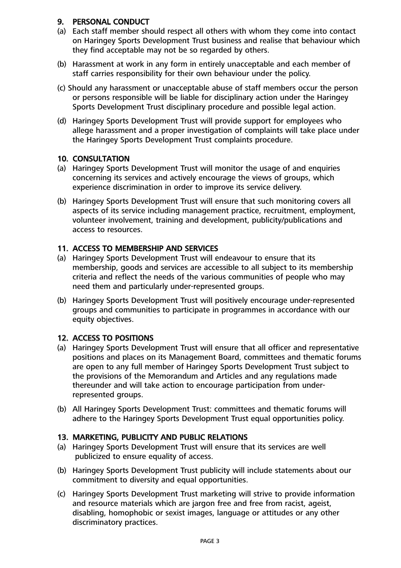# 9. PERSONAL CONDUCT

- (a) Each staff member should respect all others with whom they come into contact on Haringey Sports Development Trust business and realise that behaviour which they find acceptable may not be so regarded by others.
- (b) Harassment at work in any form in entirely unacceptable and each member of staff carries responsibility for their own behaviour under the policy.
- (c) Should any harassment or unacceptable abuse of staff members occur the person or persons responsible will be liable for disciplinary action under the Haringey Sports Development Trust disciplinary procedure and possible legal action.
- (d) Haringey Sports Development Trust will provide support for employees who allege harassment and a proper investigation of complaints will take place under the Haringey Sports Development Trust complaints procedure.

#### 10. CONSULTATION

- (a) Haringey Sports Development Trust will monitor the usage of and enquiries concerning its services and actively encourage the views of groups, which experience discrimination in order to improve its service delivery.
- (b) Haringey Sports Development Trust will ensure that such monitoring covers all aspects of its service including management practice, recruitment, employment, volunteer involvement, training and development, publicity/publications and access to resources.

## 11. ACCESS TO MEMBERSHIP AND SERVICES

- (a) Haringey Sports Development Trust will endeavour to ensure that its membership, goods and services are accessible to all subject to its membership criteria and reflect the needs of the various communities of people who may need them and particularly under-represented groups.
- (b) Haringey Sports Development Trust will positively encourage under-represented groups and communities to participate in programmes in accordance with our equity objectives.

# 12. ACCESS TO POSITIONS

- (a) Haringey Sports Development Trust will ensure that all officer and representative positions and places on its Management Board, committees and thematic forums are open to any full member of Haringey Sports Development Trust subject to the provisions of the Memorandum and Articles and any regulations made thereunder and will take action to encourage participation from underrepresented groups.
- (b) All Haringey Sports Development Trust: committees and thematic forums will adhere to the Haringey Sports Development Trust equal opportunities policy.

#### 13. MARKETING, PUBLICITY AND PUBLIC RELATIONS

- (a) Haringey Sports Development Trust will ensure that its services are well publicized to ensure equality of access.
- (b) Haringey Sports Development Trust publicity will include statements about our commitment to diversity and equal opportunities.
- (c) Haringey Sports Development Trust marketing will strive to provide information and resource materials which are jargon free and free from racist, ageist, disabling, homophobic or sexist images, language or attitudes or any other discriminatory practices.